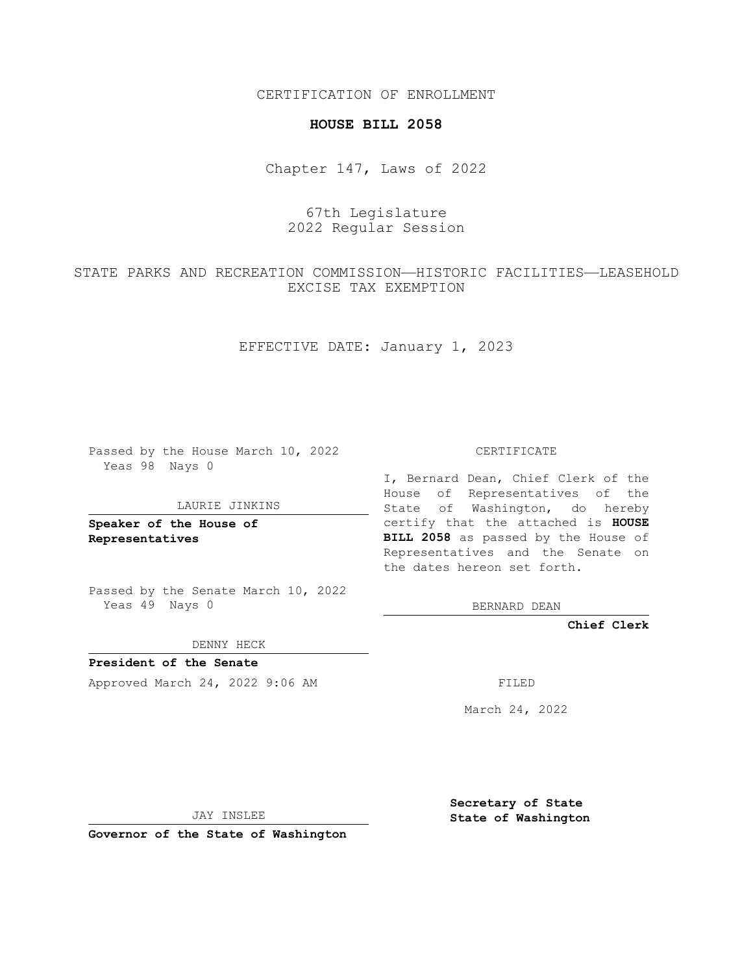CERTIFICATION OF ENROLLMENT

## **HOUSE BILL 2058**

Chapter 147, Laws of 2022

67th Legislature 2022 Regular Session

STATE PARKS AND RECREATION COMMISSION—HISTORIC FACILITIES—LEASEHOLD EXCISE TAX EXEMPTION

EFFECTIVE DATE: January 1, 2023

Passed by the House March 10, 2022 Yeas 98 Nays 0

## LAURIE JINKINS

**Speaker of the House of Representatives**

Passed by the Senate March 10, 2022 Yeas 49 Nays 0

DENNY HECK

**President of the Senate** Approved March 24, 2022 9:06 AM FILED

CERTIFICATE

I, Bernard Dean, Chief Clerk of the House of Representatives of the State of Washington, do hereby certify that the attached is **HOUSE BILL 2058** as passed by the House of Representatives and the Senate on the dates hereon set forth.

BERNARD DEAN

**Chief Clerk**

March 24, 2022

JAY INSLEE

**Governor of the State of Washington**

**Secretary of State State of Washington**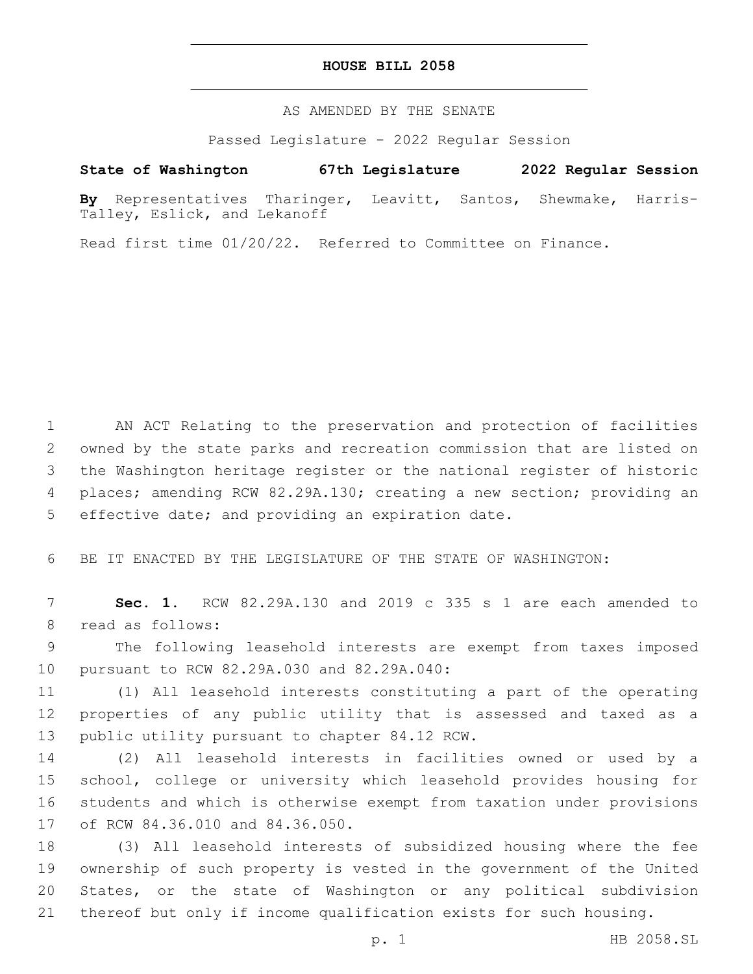## **HOUSE BILL 2058**

AS AMENDED BY THE SENATE

Passed Legislature - 2022 Regular Session

## **State of Washington 67th Legislature 2022 Regular Session**

**By** Representatives Tharinger, Leavitt, Santos, Shewmake, Harris-Talley, Eslick, and Lekanoff

Read first time 01/20/22. Referred to Committee on Finance.

 AN ACT Relating to the preservation and protection of facilities owned by the state parks and recreation commission that are listed on the Washington heritage register or the national register of historic places; amending RCW 82.29A.130; creating a new section; providing an 5 effective date; and providing an expiration date.

6 BE IT ENACTED BY THE LEGISLATURE OF THE STATE OF WASHINGTON:

7 **Sec. 1.** RCW 82.29A.130 and 2019 c 335 s 1 are each amended to 8 read as follows:

9 The following leasehold interests are exempt from taxes imposed 10 pursuant to RCW 82.29A.030 and 82.29A.040:

11 (1) All leasehold interests constituting a part of the operating 12 properties of any public utility that is assessed and taxed as a 13 public utility pursuant to chapter 84.12 RCW.

 (2) All leasehold interests in facilities owned or used by a school, college or university which leasehold provides housing for students and which is otherwise exempt from taxation under provisions 17 of RCW 84.36.010 and 84.36.050.

 (3) All leasehold interests of subsidized housing where the fee ownership of such property is vested in the government of the United States, or the state of Washington or any political subdivision thereof but only if income qualification exists for such housing.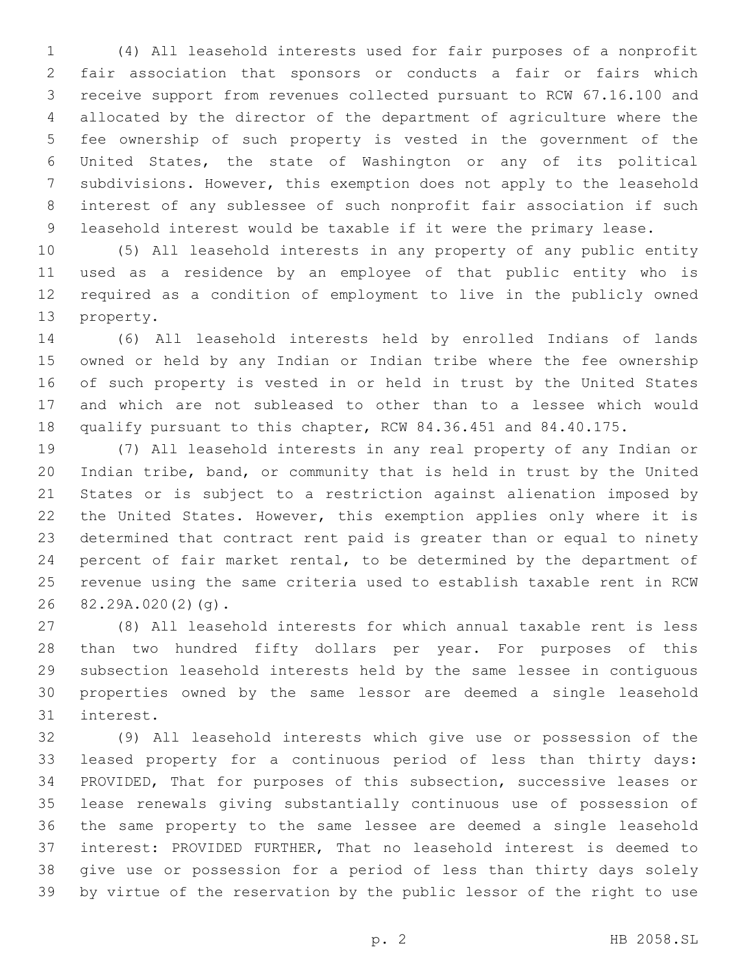(4) All leasehold interests used for fair purposes of a nonprofit fair association that sponsors or conducts a fair or fairs which receive support from revenues collected pursuant to RCW 67.16.100 and allocated by the director of the department of agriculture where the fee ownership of such property is vested in the government of the United States, the state of Washington or any of its political subdivisions. However, this exemption does not apply to the leasehold interest of any sublessee of such nonprofit fair association if such leasehold interest would be taxable if it were the primary lease.

 (5) All leasehold interests in any property of any public entity used as a residence by an employee of that public entity who is required as a condition of employment to live in the publicly owned 13 property.

 (6) All leasehold interests held by enrolled Indians of lands owned or held by any Indian or Indian tribe where the fee ownership of such property is vested in or held in trust by the United States and which are not subleased to other than to a lessee which would qualify pursuant to this chapter, RCW 84.36.451 and 84.40.175.

 (7) All leasehold interests in any real property of any Indian or Indian tribe, band, or community that is held in trust by the United States or is subject to a restriction against alienation imposed by the United States. However, this exemption applies only where it is determined that contract rent paid is greater than or equal to ninety percent of fair market rental, to be determined by the department of revenue using the same criteria used to establish taxable rent in RCW 26 82.29A.020(2)(g).

 (8) All leasehold interests for which annual taxable rent is less than two hundred fifty dollars per year. For purposes of this subsection leasehold interests held by the same lessee in contiguous properties owned by the same lessor are deemed a single leasehold 31 interest.

 (9) All leasehold interests which give use or possession of the leased property for a continuous period of less than thirty days: PROVIDED, That for purposes of this subsection, successive leases or lease renewals giving substantially continuous use of possession of the same property to the same lessee are deemed a single leasehold interest: PROVIDED FURTHER, That no leasehold interest is deemed to give use or possession for a period of less than thirty days solely by virtue of the reservation by the public lessor of the right to use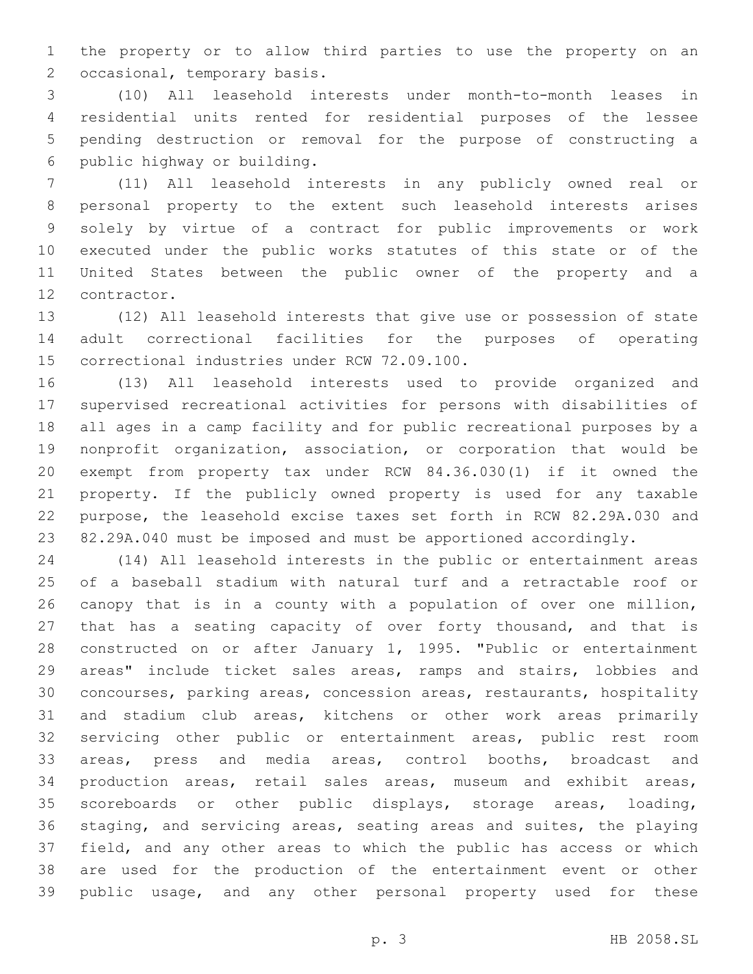the property or to allow third parties to use the property on an 2 occasional, temporary basis.

 (10) All leasehold interests under month-to-month leases in residential units rented for residential purposes of the lessee pending destruction or removal for the purpose of constructing a 6 public highway or building.

 (11) All leasehold interests in any publicly owned real or personal property to the extent such leasehold interests arises solely by virtue of a contract for public improvements or work executed under the public works statutes of this state or of the United States between the public owner of the property and a 12 contractor.

 (12) All leasehold interests that give use or possession of state adult correctional facilities for the purposes of operating 15 correctional industries under RCW 72.09.100.

 (13) All leasehold interests used to provide organized and supervised recreational activities for persons with disabilities of all ages in a camp facility and for public recreational purposes by a nonprofit organization, association, or corporation that would be exempt from property tax under RCW 84.36.030(1) if it owned the property. If the publicly owned property is used for any taxable purpose, the leasehold excise taxes set forth in RCW 82.29A.030 and 82.29A.040 must be imposed and must be apportioned accordingly.

 (14) All leasehold interests in the public or entertainment areas of a baseball stadium with natural turf and a retractable roof or canopy that is in a county with a population of over one million, that has a seating capacity of over forty thousand, and that is constructed on or after January 1, 1995. "Public or entertainment areas" include ticket sales areas, ramps and stairs, lobbies and concourses, parking areas, concession areas, restaurants, hospitality and stadium club areas, kitchens or other work areas primarily servicing other public or entertainment areas, public rest room areas, press and media areas, control booths, broadcast and production areas, retail sales areas, museum and exhibit areas, scoreboards or other public displays, storage areas, loading, staging, and servicing areas, seating areas and suites, the playing field, and any other areas to which the public has access or which are used for the production of the entertainment event or other public usage, and any other personal property used for these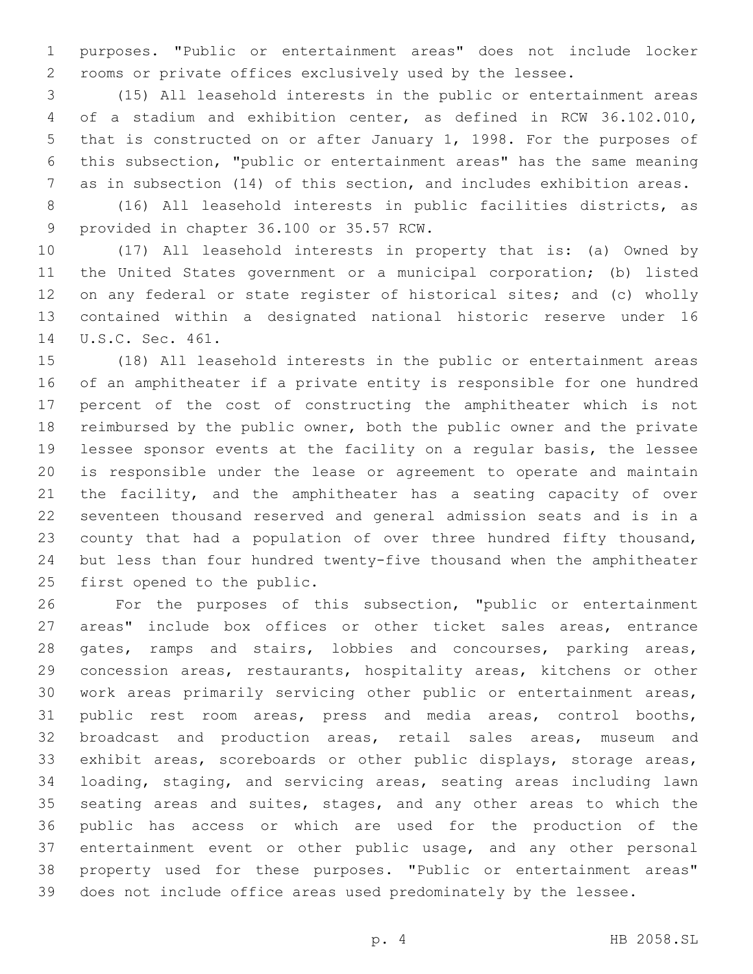purposes. "Public or entertainment areas" does not include locker rooms or private offices exclusively used by the lessee.

 (15) All leasehold interests in the public or entertainment areas of a stadium and exhibition center, as defined in RCW 36.102.010, that is constructed on or after January 1, 1998. For the purposes of this subsection, "public or entertainment areas" has the same meaning as in subsection (14) of this section, and includes exhibition areas.

 (16) All leasehold interests in public facilities districts, as 9 provided in chapter 36.100 or 35.57 RCW.

 (17) All leasehold interests in property that is: (a) Owned by the United States government or a municipal corporation; (b) listed on any federal or state register of historical sites; and (c) wholly contained within a designated national historic reserve under 16 14 U.S.C. Sec. 461.

 (18) All leasehold interests in the public or entertainment areas of an amphitheater if a private entity is responsible for one hundred percent of the cost of constructing the amphitheater which is not reimbursed by the public owner, both the public owner and the private lessee sponsor events at the facility on a regular basis, the lessee is responsible under the lease or agreement to operate and maintain the facility, and the amphitheater has a seating capacity of over seventeen thousand reserved and general admission seats and is in a county that had a population of over three hundred fifty thousand, but less than four hundred twenty-five thousand when the amphitheater 25 first opened to the public.

 For the purposes of this subsection, "public or entertainment areas" include box offices or other ticket sales areas, entrance 28 gates, ramps and stairs, lobbies and concourses, parking areas, concession areas, restaurants, hospitality areas, kitchens or other work areas primarily servicing other public or entertainment areas, public rest room areas, press and media areas, control booths, broadcast and production areas, retail sales areas, museum and exhibit areas, scoreboards or other public displays, storage areas, loading, staging, and servicing areas, seating areas including lawn seating areas and suites, stages, and any other areas to which the public has access or which are used for the production of the entertainment event or other public usage, and any other personal property used for these purposes. "Public or entertainment areas" does not include office areas used predominately by the lessee.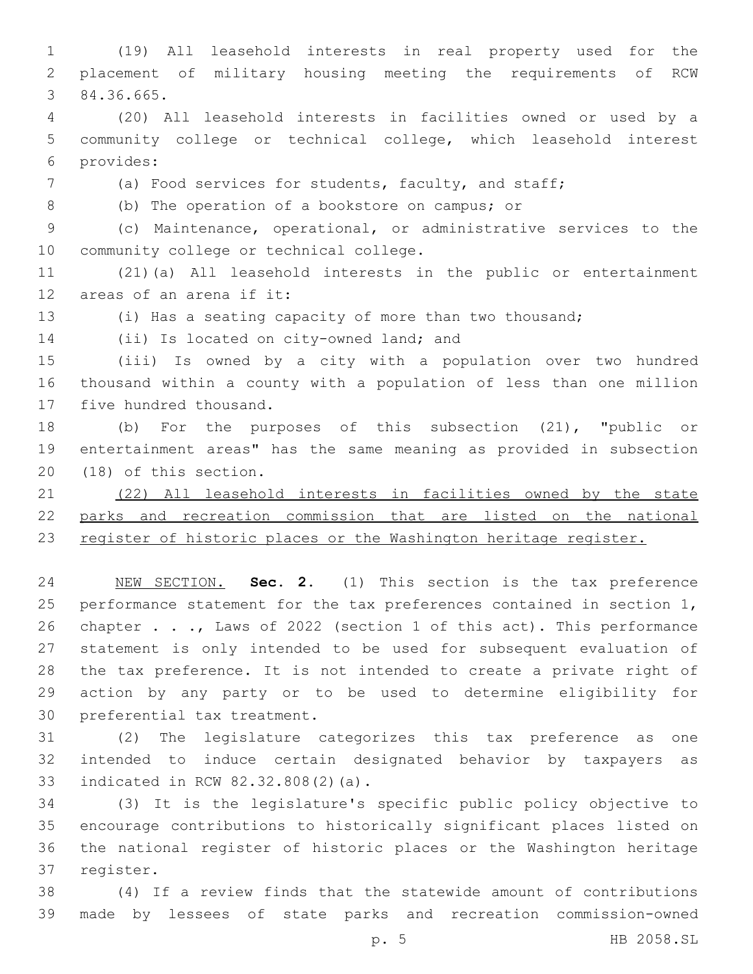(19) All leasehold interests in real property used for the placement of military housing meeting the requirements of RCW 84.36.665.3

 (20) All leasehold interests in facilities owned or used by a community college or technical college, which leasehold interest provides:6

(a) Food services for students, faculty, and staff;

8 (b) The operation of a bookstore on campus; or

 (c) Maintenance, operational, or administrative services to the 10 community college or technical college.

 (21)(a) All leasehold interests in the public or entertainment 12 areas of an arena if it:

(i) Has a seating capacity of more than two thousand;

14 (ii) Is located on city-owned land; and

 (iii) Is owned by a city with a population over two hundred thousand within a county with a population of less than one million 17 five hundred thousand.

 (b) For the purposes of this subsection (21), "public or entertainment areas" has the same meaning as provided in subsection 20 (18) of this section.

 (22) All leasehold interests in facilities owned by the state parks and recreation commission that are listed on the national 23 register of historic places or the Washington heritage register.

 NEW SECTION. **Sec. 2.** (1) This section is the tax preference 25 performance statement for the tax preferences contained in section 1, 26 chapter . . ., Laws of 2022 (section 1 of this act). This performance statement is only intended to be used for subsequent evaluation of the tax preference. It is not intended to create a private right of action by any party or to be used to determine eligibility for preferential tax treatment.

 (2) The legislature categorizes this tax preference as one intended to induce certain designated behavior by taxpayers as 33 indicated in RCW 82.32.808(2)(a).

 (3) It is the legislature's specific public policy objective to encourage contributions to historically significant places listed on the national register of historic places or the Washington heritage 37 register.

 (4) If a review finds that the statewide amount of contributions made by lessees of state parks and recreation commission-owned